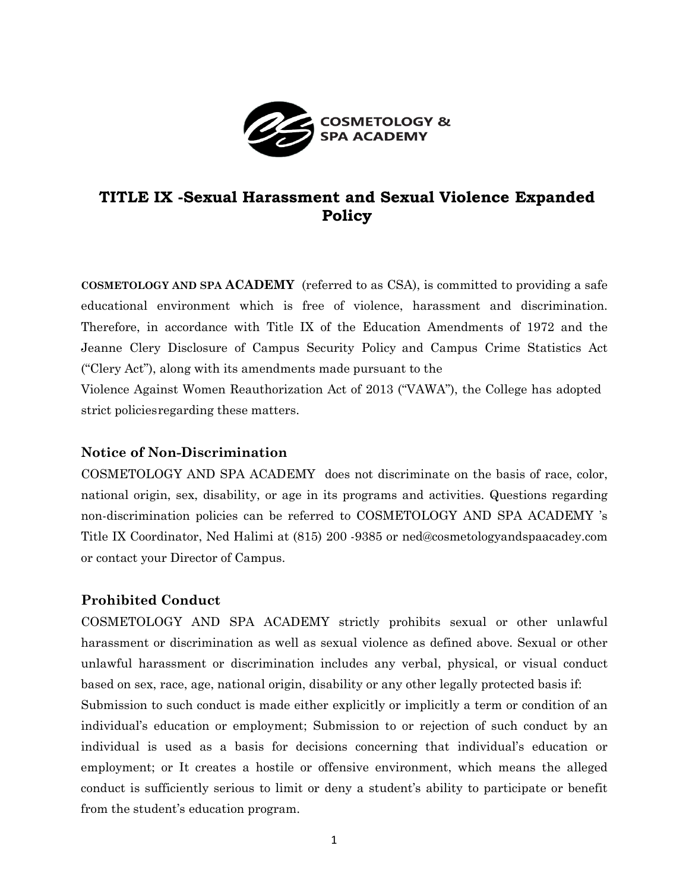

# **TITLE IX -Sexual Harassment and Sexual Violence Expanded Policy**

**COSMETOLOGY AND SPA ACADEMY** (referred to as CSA), is committed to providing a safe educational environment which is free of violence, harassment and discrimination. Therefore, in accordance with Title IX of the Education Amendments of 1972 and the Jeanne Clery Disclosure of Campus Security Policy and Campus Crime Statistics Act ("Clery Act"), along with its amendments made pursuant to the

Violence Against Women Reauthorization Act of 2013 ("VAWA"), the College has adopted strict policiesregarding these matters.

### **Notice of Non-Discrimination**

COSMETOLOGY AND SPA ACADEMY does not discriminate on the basis of race, color, national origin, sex, disability, or age in its programs and activities. Questions regarding non-discrimination policies can be referred to COSMETOLOGY AND SPA ACADEMY 's Title IX Coordinator, Ned Halimi at (815) 200 -9385 or [ned@cosmetologyandspaacadey.com](mailto:ned@cosmetologyandspaacadey.com) or contact your Director of Campus.

# **Prohibited Conduct**

COSMETOLOGY AND SPA ACADEMY strictly prohibits sexual or other unlawful harassment or discrimination as well as sexual violence as defined above. Sexual or other unlawful harassment or discrimination includes any verbal, physical, or visual conduct based on sex, race, age, national origin, disability or any other legally protected basis if:

Submission to such conduct is made either explicitly or implicitly a term or condition of an individual's education or employment; Submission to or rejection of such conduct by an individual is used as a basis for decisions concerning that individual's education or employment; or It creates a hostile or offensive environment, which means the alleged conduct is sufficiently serious to limit or deny a student's ability to participate or benefit from the student's education program.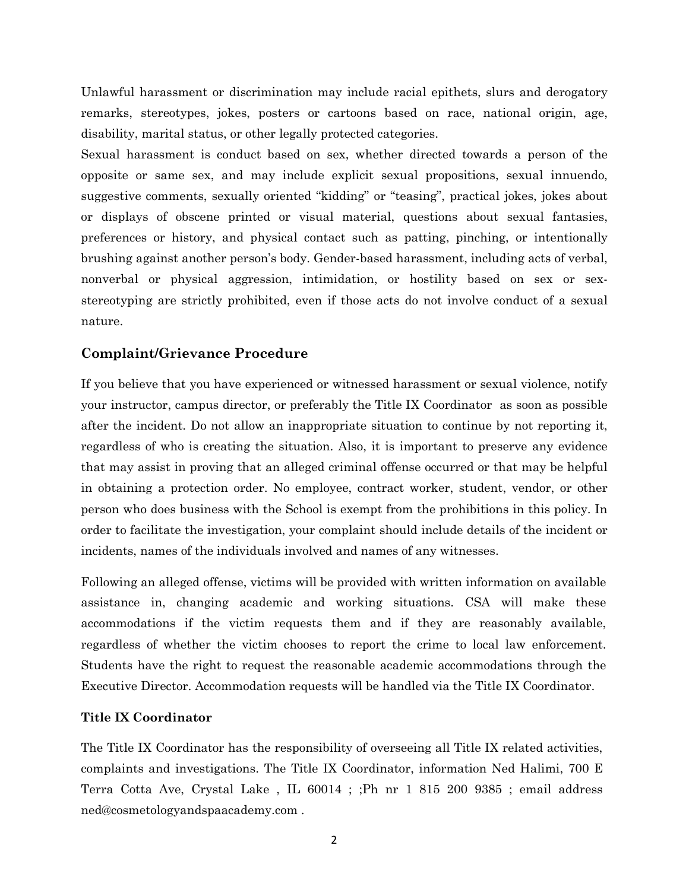Unlawful harassment or discrimination may include racial epithets, slurs and derogatory remarks, stereotypes, jokes, posters or cartoons based on race, national origin, age, disability, marital status, or other legally protected categories.

Sexual harassment is conduct based on sex, whether directed towards a person of the opposite or same sex, and may include explicit sexual propositions, sexual innuendo, suggestive comments, sexually oriented "kidding" or "teasing", practical jokes, jokes about or displays of obscene printed or visual material, questions about sexual fantasies, preferences or history, and physical contact such as patting, pinching, or intentionally brushing against another person's body. Gender-based harassment, including acts of verbal, nonverbal or physical aggression, intimidation, or hostility based on sex or sexstereotyping are strictly prohibited, even if those acts do not involve conduct of a sexual nature.

#### **Complaint/Grievance Procedure**

If you believe that you have experienced or witnessed harassment or sexual violence, notify your instructor, campus director, or preferably the Title IX Coordinator as soon as possible after the incident. Do not allow an inappropriate situation to continue by not reporting it, regardless of who is creating the situation. Also, it is important to preserve any evidence that may assist in proving that an alleged criminal offense occurred or that may be helpful in obtaining a protection order. No employee, contract worker, student, vendor, or other person who does business with the School is exempt from the prohibitions in this policy. In order to facilitate the investigation, your complaint should include details of the incident or incidents, names of the individuals involved and names of any witnesses.

Following an alleged offense, victims will be provided with written information on available assistance in, changing academic and working situations. CSA will make these accommodations if the victim requests them and if they are reasonably available, regardless of whether the victim chooses to report the crime to local law enforcement. Students have the right to request the reasonable academic accommodations through the Executive Director. Accommodation requests will be handled via the Title IX Coordinator.

#### **Title IX Coordinator**

The Title IX Coordinator has the responsibility of overseeing all Title IX related activities, complaints and investigations. The Title IX Coordinator, information Ned Halimi, 700 E Terra Cotta Ave, Crystal Lake , IL 60014 ; ;Ph nr 1 815 200 9385 ; email address [ned@cosmetologyandspaacademy.com](mailto:ned@cosmetologyandspaacademy.com) .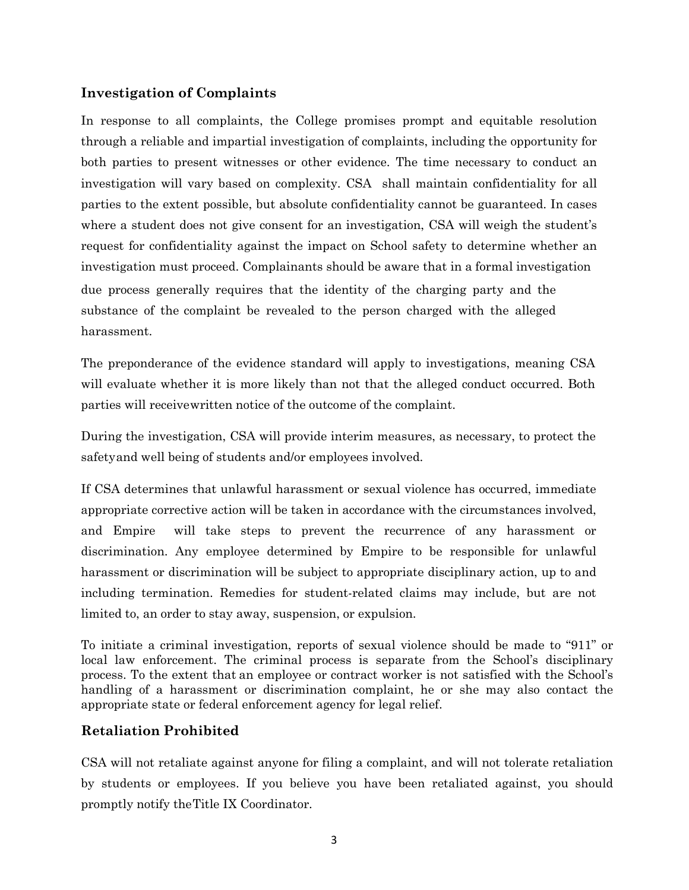## **Investigation of Complaints**

In response to all complaints, the College promises prompt and equitable resolution through a reliable and impartial investigation of complaints, including the opportunity for both parties to present witnesses or other evidence. The time necessary to conduct an investigation will vary based on complexity. CSA shall maintain confidentiality for all parties to the extent possible, but absolute confidentiality cannot be guaranteed. In cases where a student does not give consent for an investigation, CSA will weigh the student's request for confidentiality against the impact on School safety to determine whether an investigation must proceed. Complainants should be aware that in a formal investigation due process generally requires that the identity of the charging party and the substance of the complaint be revealed to the person charged with the alleged harassment.

The preponderance of the evidence standard will apply to investigations, meaning CSA will evaluate whether it is more likely than not that the alleged conduct occurred. Both parties will receivewritten notice of the outcome of the complaint.

During the investigation, CSA will provide interim measures, as necessary, to protect the safetyand well being of students and/or employees involved.

If CSA determines that unlawful harassment or sexual violence has occurred, immediate appropriate corrective action will be taken in accordance with the circumstances involved, and Empire will take steps to prevent the recurrence of any harassment or discrimination. Any employee determined by Empire to be responsible for unlawful harassment or discrimination will be subject to appropriate disciplinary action, up to and including termination. Remedies for student-related claims may include, but are not limited to, an order to stay away, suspension, or expulsion.

To initiate a criminal investigation, reports of sexual violence should be made to "911" or local law enforcement. The criminal process is separate from the School's disciplinary process. To the extent that an employee or contract worker is not satisfied with the School's handling of a harassment or discrimination complaint, he or she may also contact the appropriate state or federal enforcement agency for legal relief.

### **Retaliation Prohibited**

CSA will not retaliate against anyone for filing a complaint, and will not tolerate retaliation by students or employees. If you believe you have been retaliated against, you should promptly notify theTitle IX Coordinator.